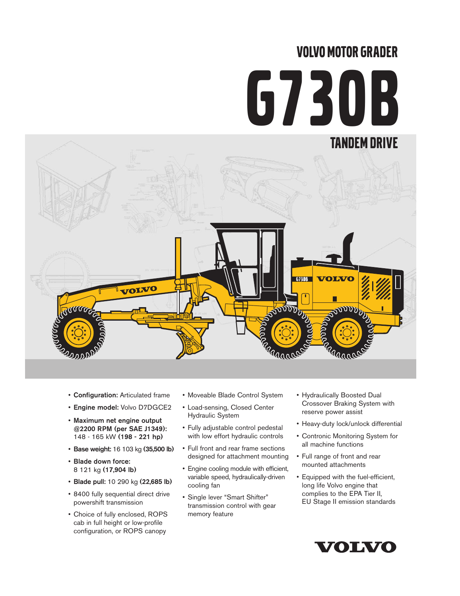# VOLVO MOTOR GRADER G730B



- Configuration: Articulated frame
- Engine model: Volvo D7DGCE2
- Maximum net engine output @2200 RPM (per SAE J1349): 148 - 165 kW (198 - 221 hp)
- Base weight: 16 103 kg (35,500 lb)
- Blade down force: 8 121 kg (17,904 lb)
- Blade pull: 10 290 kg (22,685 lb)
- 8400 fully sequential direct drive powershift transmission
- Choice of fully enclosed, ROPS cab in full height or low-profile configuration, or ROPS canopy
- Moveable Blade Control System
- Load-sensing, Closed Center Hydraulic System
- Fully adjustable control pedestal with low effort hydraulic controls
- Full front and rear frame sections designed for attachment mounting
- Engine cooling module with efficient, variable speed, hydraulically-driven cooling fan
- Single lever "Smart Shifter" transmission control with gear memory feature
- Hydraulically Boosted Dual Crossover Braking System with reserve power assist
- Heavy-duty lock/unlock differential
- Contronic Monitoring System for all machine functions
- Full range of front and rear mounted attachments
- Equipped with the fuel-efficient, long life Volvo engine that complies to the EPA Tier II, EU Stage II emission standards

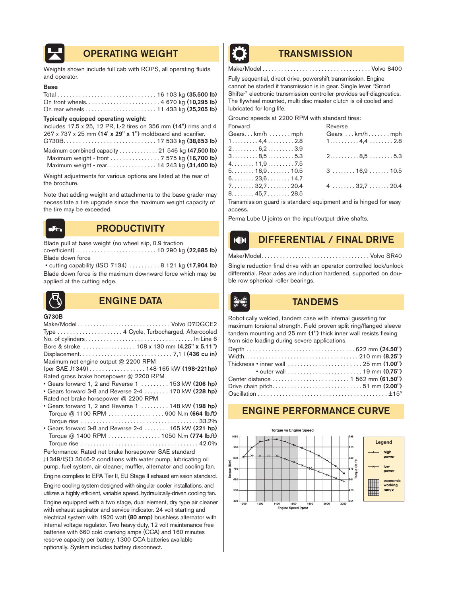

# OPERATING WEIGHT **TRANSMISSION**

Weights shown include full cab with ROPS, all operating fluids and operator.

#### Base

#### Typically equipped operating weight:

| includes 17.5 x 25, 12 PR, L-2 tires on 356 mm (14") rims and 4 |
|-----------------------------------------------------------------|
| 267 x 737 x 25 mm (14' x 29" x 1") moldboard and scarifier.     |
|                                                                 |
| Maximum combined capacity  21 546 kg (47,500 lb)                |
| Maximum weight - front 7 575 kg (16,700 lb)                     |
| Maximum weight - rear. 14 243 kg (31,400 lb)                    |
|                                                                 |

Weight adjustments for various options are listed at the rear of the brochure.

Note that adding weight and attachments to the base grader may necessitate a tire upgrade since the maximum weight capacity of the tire may be exceeded.



# **PRODUCTIVITY**

Blade pull at base weight (no wheel slip, 0.9 traction co-efficient) . . . . . . . . . . . . . . . . . . . . . . . . . . 10 290 kg (22,685 lb) Blade down force

• cutting capability (ISO 7134) . . . . . . . . . . 8 121 kg (17,904 lb) Blade down force is the maximum downward force which may be applied at the cutting edge.



# ENGINE DATA TANDEMS

G730B

|                                                      | Type  4 Cycle, Turbocharged, Aftercooled                               |
|------------------------------------------------------|------------------------------------------------------------------------|
|                                                      |                                                                        |
|                                                      |                                                                        |
|                                                      |                                                                        |
| Maximum net engine output @ 2200 RPM                 |                                                                        |
|                                                      | (per SAE J1349) 148-165 kW (198-221hp)                                 |
| Rated gross brake horsepower @ 2200 RPM              |                                                                        |
|                                                      | • Gears forward 1, 2 and Reverse 1 $\dots$ 153 kW (206 hp)             |
|                                                      | • Gears forward 3-8 and Reverse 2-4 170 kW (228 hp)                    |
| Rated net brake horsepower @ 2200 RPM                |                                                                        |
|                                                      | • Gears forward 1, 2 and Reverse 1 $\dots$ 148 kW (198 hp)             |
|                                                      | Torque @ 1100 RPM 900 N.m (664 lb.ft)                                  |
|                                                      |                                                                        |
|                                                      | • Gears forward 3-8 and Reverse 2-4 165 kW (221 hp)                    |
|                                                      | Torque @ 1400 RPM 1050 N.m (774 lb.ft)                                 |
|                                                      |                                                                        |
| Performance: Rated net brake horsepower SAE standard |                                                                        |
|                                                      | J1349/ISO 3046-2 conditions with water pump, lubricating oil           |
|                                                      | pump, fuel system, air cleaner, muffler, alternator and cooling fan.   |
|                                                      | Engine complies to EPA Tier II, EU Stage II exhaust emission standard. |

Engine cooling system designed with singular cooler installations, and utilizes a highly efficient, variable speed, hydraulically-driven cooling fan.

Engine equipped with a two stage, dual element, dry type air cleaner with exhaust aspirator and service indicator. 24 volt starting and electrical system with 1920 watt (80 amp) brushless alternator with internal voltage regulator. Two heavy-duty, 12 volt maintenance free batteries with 660 cold cranking amps (CCA) and 160 minutes reserve capacity per battery. 1300 CCA batteries available optionally. System includes battery disconnect.



Make/Model . . . . . . . . . . . . . . . . . . . . . . . . . . . . . . . . . . . Volvo 8400

Fully sequential, direct drive, powershift transmission. Engine cannot be started if transmission is in gear. Single lever "Smart Shifter" electronic transmission controller provides self-diagnostics. The flywheel mounted, multi-disc master clutch is oil-cooled and lubricated for long life.

Ground speeds at 2200 RPM with standard tires:

| Forward                                                | Reverse                                          |
|--------------------------------------------------------|--------------------------------------------------|
| Gearskm/h mph                                          | Gears  km/h mph                                  |
| $1 \ldots \ldots \ldots 4, 4 \ldots \ldots \ldots 2.8$ | $1, \ldots, \ldots, 4, 4, \ldots, 2.8$           |
| $2.\dots\dots.6,2\dots\dots.39$                        |                                                  |
| $3 \ldots 8, 5 \ldots 5.3$                             | $2.\dots \dots \dots 8,5\dots \dots 5.3$         |
| $4. \ldots \ldots 11,9 \ldots \ldots 7.5$              |                                                  |
| $5. \ldots \ldots 16.9 \ldots \ldots 10.5$             | $3 \ldots \ldots \ldots 16,9 \ldots \ldots 10.5$ |
| $6. \ldots \ldots 23.6 \ldots \ldots 14.7$             |                                                  |
| $7. \ldots \ldots 32.7 \ldots \ldots 20.4$             | $4 \ldots \ldots 32.7 \ldots 20.4$               |
| $8. \ldots \ldots 45.7 \ldots \ldots 28.5$             |                                                  |
|                                                        |                                                  |

Transmission guard is standard equipment and is hinged for easy access.

Perma Lube U joints on the input/output drive shafts.

#### DIFFERENTIAL / FINAL DRIVE  $M$

Make/Model. . . . . . . . . . . . . . . . . . . . . . . . . . . . . . . . . . . Volvo SR40

Single reduction final drive with an operator controlled lock/unlock differential. Rear axles are induction hardened, supported on double row spherical roller bearings.



Robotically welded, tandem case with internal gusseting for maximum torsional strength. Field proven split ring/flanged sleeve tandem mounting and  $25$  mm  $(1")$  thick inner wall resists flexing from side loading during severe applications.

|  |  | Thickness • inner wall $\ldots \ldots \ldots \ldots \ldots \ldots \ldots \ldots$ 25 mm (1.00") |
|--|--|------------------------------------------------------------------------------------------------|
|  |  | • outer wall $\ldots \ldots \ldots \ldots \ldots \ldots \ldots$ 19 mm $(0.75")$                |
|  |  |                                                                                                |
|  |  | Drive chain pitch51 mm (2.00")                                                                 |
|  |  |                                                                                                |
|  |  |                                                                                                |

# ENGINE PERFORMANCE CURVE

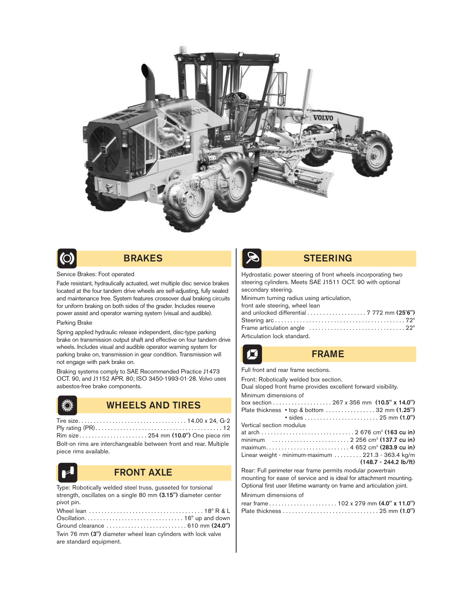



# BRAKES

#### Service Brakes: Foot operated

Fade resistant, hydraulically actuated, wet multiple disc service brakes located at the four tandem drive wheels are self-adjusting, fully sealed and maintenance free. System features crossover dual braking circuits for uniform braking on both sides of the grader. Includes reserve power assist and operator warning system (visual and audible).

#### Parking Brake

Spring applied hydraulic release independent, disc-type parking brake on transmission output shaft and effective on four tandem drive wheels. Includes visual and audible operator warning system for parking brake on, transmission in gear condition. Transmission will not engage with park brake on.

Braking systems comply to SAE Recommended Practice J1473 OCT. 90, and J1152 APR. 80; ISO 3450-1993-01-28. Volvo uses asbestos-free brake components.

# WHEELS AND TIRES

| Rim size 254 mm (10.0") One piece rim                             |  |
|-------------------------------------------------------------------|--|
| Bolt-on rims are interchangeable between front and rear. Multiple |  |
|                                                                   |  |

piece rims available.



## FRONT AXLE

Type: Robotically welded steel truss, gusseted for torsional strength, oscillates on a single 80 mm (3.15") diameter center pivot pin.

| Twin 76 mm (3") diameter wheel lean cylinders with lock valve |
|---------------------------------------------------------------|
| are standard equipment.                                       |



## STEERING

Hydrostatic power steering of front wheels incorporating two steering cylinders. Meets SAE J1511 OCT. 90 with optional secondary steering.

| Minimum turning radius using articulation,                                                           |  |
|------------------------------------------------------------------------------------------------------|--|
| front axle steering, wheel lean                                                                      |  |
| and unlocked differential $\ldots \ldots \ldots \ldots \ldots$ 7 772 mm (25'6")                      |  |
|                                                                                                      |  |
| Frame articulation angle $\ldots \ldots \ldots \ldots \ldots \ldots \ldots \ldots \ldots 22^{\circ}$ |  |
| Articulation lock standard.                                                                          |  |

## FRAME

Full front and rear frame sections.

Front: Robotically welded box section.

Dual sloped front frame provides excellent forward visibility. Minimum dimensions of

| $\frac{1}{2}$ only an extraording the set of $\frac{1}{2}$ |
|------------------------------------------------------------|
|                                                            |
|                                                            |
|                                                            |
| Vertical section modulus                                   |
|                                                            |
|                                                            |
|                                                            |
| Linear weight - minimum-maximum  221.3 - 363.4 kg/m        |
| $(148.7 - 244.2 \text{ lb/ft})$                            |
| Deep Eull porimeter rear frome pormits modular pouchroin   |

Rear: Full perimeter rear frame permits modular powertrain mounting for ease of service and is ideal for attachment mounting. Optional first user lifetime warranty on frame and articulation joint. Minimum dimensions of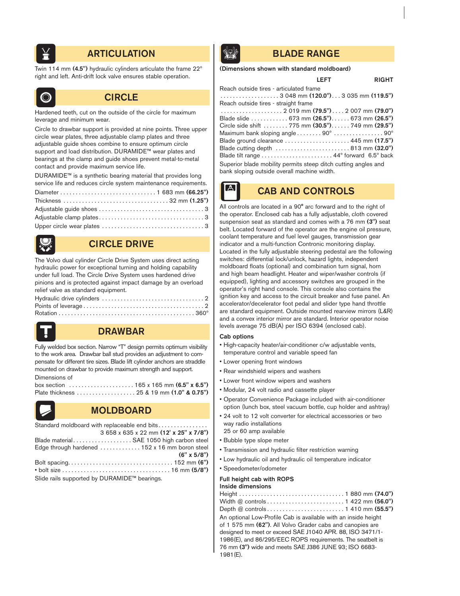

# **ARTICULATION BLADE RANGE**

Twin 114 mm (4.5") hydraulic cylinders articulate the frame 22º right and left. Anti-drift lock valve ensures stable operation.



# **CIRCLE**

Hardened teeth, cut on the outside of the circle for maximum leverage and minimum wear.

Circle to drawbar support is provided at nine points. Three upper circle wear plates, three adjustable clamp plates and three adjustable guide shoes combine to ensure optimum circle support and load distribution. DURAMIDE™ wear plates and bearings at the clamp and guide shoes prevent metal-to-metal contact and provide maximum service life.

DURAMIDE™ is a synthetic bearing material that provides long service life and reduces circle system maintenance requirements.



# CIRCLE DRIVE

The Volvo dual cylinder Circle Drive System uses direct acting hydraulic power for exceptional turning and holding capability under full load. The Circle Drive System uses hardened drive pinions and is protected against impact damage by an overload relief valve as standard equipment.



# DRAWBAR

Fully welded box section. Narrow "T" design permits optimum visibility to the work area. Drawbar ball stud provides an adjustment to compensate for different tire sizes. Blade lift cylinder anchors are straddle mounted on drawbar to provide maximum strength and support. Dimensions of

| box section $\ldots \ldots \ldots \ldots \ldots \ldots 165$ x 165 mm $(6.5" \times 6.5")$ |  |
|-------------------------------------------------------------------------------------------|--|
|                                                                                           |  |



# MOLDBOARD

| Standard moldboard with replaceable end bits   |
|------------------------------------------------|
| 3 658 x 635 x 22 mm (12' x 25" x 7/8")         |
| Blade material SAE 1050 high carbon steel      |
| Edge through hardened  152 x 16 mm boron steel |
| $(6" \times 5/8")$                             |
|                                                |
|                                                |
| Slide rails supported by DURAMIDE™ bearings.   |

Slide rails supported by DURAMIDE™ bearings.



## (Dimensions shown with standard moldboard)

## LEFT RIGHT

| Reach outside tires – articulated frame                                                                |
|--------------------------------------------------------------------------------------------------------|
| $\ldots \ldots \ldots \ldots \ldots \ldots$ 3 048 mm (120.0") 3 035 mm (119.5")                        |
| Reach outside tires - straight frame                                                                   |
|                                                                                                        |
| Blade slide 673 mm ( <b>26.5")</b> . 673 mm ( <b>26.5")</b>                                            |
| Circle side shift  775 mm (30.5") 749 mm (29.5")                                                       |
| Maximum bank sloping angle $\ldots \ldots \ldots 90^\circ \ldots \ldots \ldots \ldots \ldots 90^\circ$ |
| Blade ground clearance $\ldots \ldots \ldots \ldots \ldots \ldots 445$ mm $(17.5")$                    |
| Blade cutting depth $\ldots \ldots \ldots \ldots \ldots \ldots \ldots 813$ mm $(32.0")$                |
|                                                                                                        |
| Superior blade mobility permits steep ditch cutting angles and                                         |
| bank sloping outside overall machine width.                                                            |
|                                                                                                        |

# CAB AND CONTROLS

All controls are located in a 90° arc forward and to the right of the operator. Enclosed cab has a fully adjustable, cloth covered suspension seat as standard and comes with a 76 mm (3") seat belt. Located forward of the operator are the engine oil pressure, coolant temperature and fuel level gauges, transmission gear indicator and a multi-function Contronic monitoring display. Located in the fully adjustable steering pedestal are the following switches: differential lock/unlock, hazard lights, independent moldboard floats (optional) and combination turn signal, horn and high beam headlight. Heater and wiper/washer controls (if equipped), lighting and accessory switches are grouped in the operator's right hand console. This console also contains the ignition key and access to the circuit breaker and fuse panel. An accelerator/decelerator foot pedal and slider type hand throttle are standard equipment. Outside mounted rearview mirrors (L&R) and a convex interior mirror are standard. Interior operator noise levels average 75 dB(A) per ISO 6394 (enclosed cab).

#### Cab options

- High-capacity heater/air-conditioner c/w adjustable vents, temperature control and variable speed fan
- Lower opening front windows
- Rear windshield wipers and washers
- Lower front window wipers and washers
- Modular, 24 volt radio and cassette player
- Operator Convenience Package included with air-conditioner option (lunch box, steel vacuum bottle, cup holder and ashtray)
- 24 volt to 12 volt converter for electrical accessories or two way radio installations 25 or 60 amp available
- Bubble type slope meter
- Transmission and hydraulic filter restriction warning
- Low hydraulic oil and hydraulic oil temperature indicator
- Speedometer/odometer

#### Full height cab with ROPS

#### Inside dimensions

| An optional Low-Profile Cab is available with an inside height<br>of 1 575 mm (62"). All Volvo Grader cabs and canopies are<br>designed to meet or exceed SAE J1040 APR. 88, ISO 3471/1-<br>1986(E), and 86/295/EEC ROPS requirements. The seatbelt is<br>76 mm (3") wide and meets SAE J386 JUNE 93: ISO 6683-<br>$1981(E)$ . |
|--------------------------------------------------------------------------------------------------------------------------------------------------------------------------------------------------------------------------------------------------------------------------------------------------------------------------------|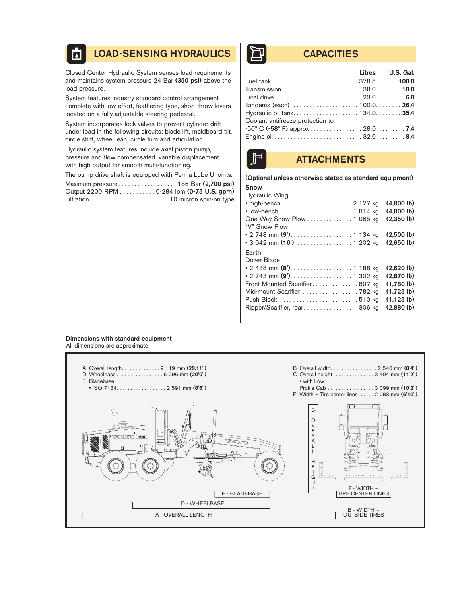#### LOAD-SENSING HYDRAULICS | THE CAPACITIES  $\overline{\mathbf{b}}$

Closed Center Hydraulic System senses load requirements and maintains system pressure 24 Bar (350 psi) above the load pressure.

System features industry standard control arrangement complete with low effort, feathering type, short throw levers located on a fully adjustable steering pedestal.

System incorporates lock valves to prevent cylinder drift under load in the following circuits: blade lift, moldboard tilt, circle shift, wheel lean, circle turn and articulation.

Hydraulic system features include axial piston pump, pressure and flow compensated, variable displacement with high output for smooth multi-functioning.

The pump drive shaft is equipped with Perma Lube U joints. Maximum pressure. . . . . . . . . . . . . . . . . . 186 Bar (2,700 psi) Output 2200 RPM . . . . . . . . . . . 0-284 lpm (0-75 U.S. gpm) Filtration . . . . . . . . . . . . . . . . . . . . . . . . 10 micron spin-on type

| Fuel tank  378.5  100.0                             |
|-----------------------------------------------------|
|                                                     |
|                                                     |
|                                                     |
| Tandems (each)100.0 26.4                            |
| Hydraulic oil tank 134.0 35.4                       |
|                                                     |
| $-50^{\circ}$ C ( $-58^{\circ}$ F) approx 28.0. 7.4 |
|                                                     |
|                                                     |



# **ATTACHMENTS**

#### (Optional unless otherwise stated as standard equipment)

| <b>Snow</b>           |  |
|-----------------------|--|
| <b>Hydraulic Wing</b> |  |

| • high-bench 2 177 kg<br>One Way Snow Plow 1 065 kg<br>"V" Snow Plow<br>• 2 743 mm (9'). 1 134 kg | $(4.800 \, lb)$<br>$(4,000 \, lb)$<br>$(2.350 \, lb)$<br>$(2.500 \, lb)$ |
|---------------------------------------------------------------------------------------------------|--------------------------------------------------------------------------|
| • 3 042 mm (10') $\ldots \ldots \ldots \ldots \ldots 1$ 202 kg                                    | $(2.650 \, lb)$                                                          |
| Earth<br>Dozer Blade<br>• 2 438 mm (8')  1 188 kg                                                 | $(2.620 \, lb)$<br>(2.870)                                               |
| Front Mounted Scarifier 807 kg                                                                    | $(1.780 \, lb)$                                                          |
| Mid-mount Scarifier  782 kg                                                                       | $(1.725 \, lb)$<br>$(1.125 \, lb)$<br>(2.880)                            |

#### Dimensions with standard equipment All dimensions are approximate